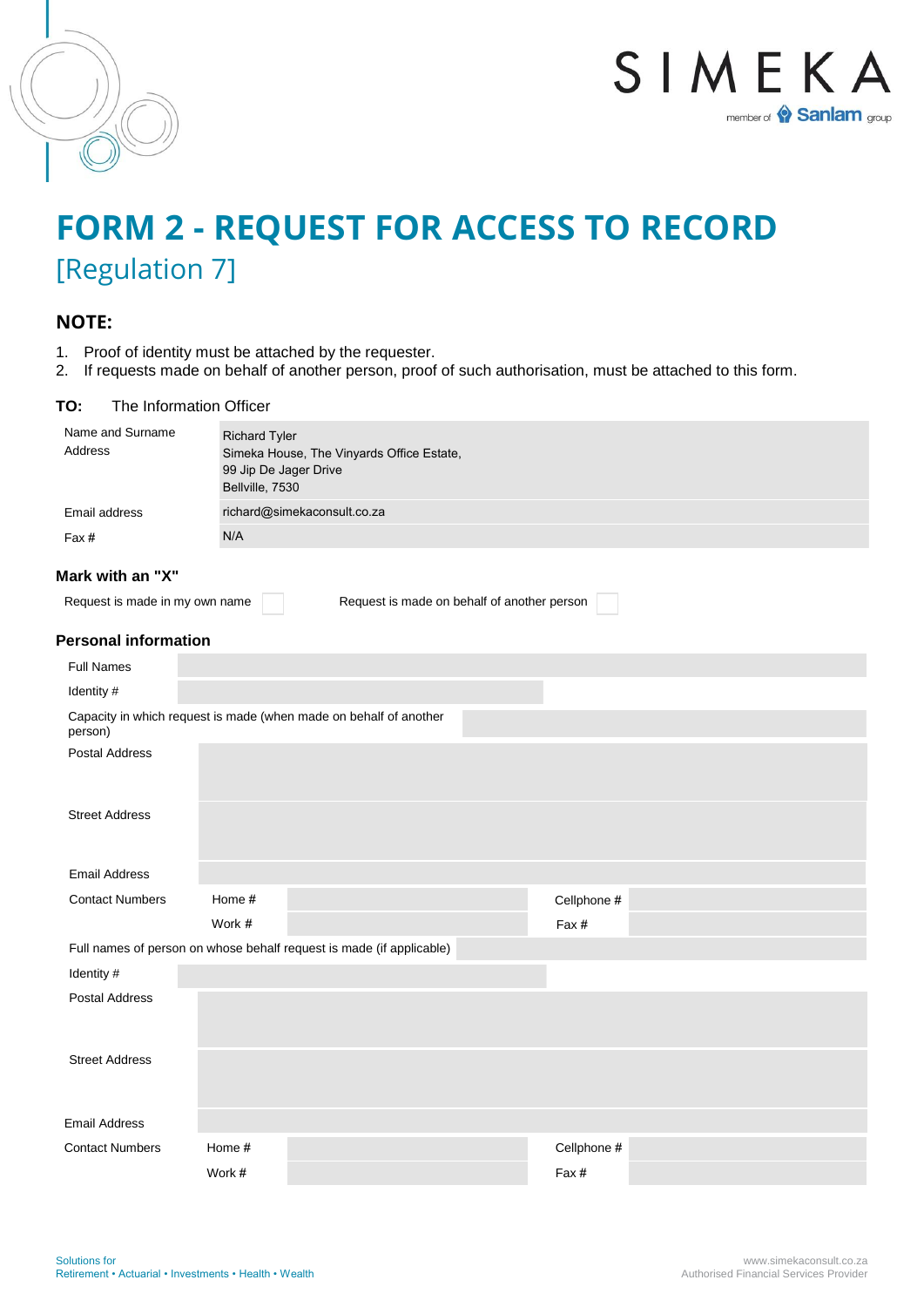



# **FORM 2 - REQUEST FOR ACCESS TO RECORD** [Regulation 7]

## **NOTE:**

- 1. Proof of identity must be attached by the requester.
- 2. If requests made on behalf of another person, proof of such authorisation, must be attached to this form.

### **TO:** The Information Officer

| Name and Surname<br><b>Address</b> | <b>Richard Tyler</b><br>Simeka House, The Vinyards Office Estate,<br>99 Jip De Jager Drive<br>Bellville, 7530 |                                                                      |             |  |
|------------------------------------|---------------------------------------------------------------------------------------------------------------|----------------------------------------------------------------------|-------------|--|
| Email address                      | richard@simekaconsult.co.za                                                                                   |                                                                      |             |  |
| Fax#                               | N/A                                                                                                           |                                                                      |             |  |
| Mark with an "X"                   |                                                                                                               |                                                                      |             |  |
| Request is made in my own name     |                                                                                                               | Request is made on behalf of another person                          |             |  |
| <b>Personal information</b>        |                                                                                                               |                                                                      |             |  |
| <b>Full Names</b>                  |                                                                                                               |                                                                      |             |  |
| Identity #                         |                                                                                                               |                                                                      |             |  |
| person)                            |                                                                                                               | Capacity in which request is made (when made on behalf of another    |             |  |
| <b>Postal Address</b>              |                                                                                                               |                                                                      |             |  |
| <b>Street Address</b>              |                                                                                                               |                                                                      |             |  |
| <b>Email Address</b>               |                                                                                                               |                                                                      |             |  |
| <b>Contact Numbers</b>             | Home #                                                                                                        |                                                                      | Cellphone # |  |
|                                    | Work #                                                                                                        |                                                                      | Fax #       |  |
|                                    |                                                                                                               | Full names of person on whose behalf request is made (if applicable) |             |  |
| Identity #                         |                                                                                                               |                                                                      |             |  |
| <b>Postal Address</b>              |                                                                                                               |                                                                      |             |  |
| <b>Street Address</b>              |                                                                                                               |                                                                      |             |  |
| <b>Email Address</b>               |                                                                                                               |                                                                      |             |  |
| <b>Contact Numbers</b>             | Home #                                                                                                        |                                                                      | Cellphone # |  |
|                                    | Work #                                                                                                        |                                                                      | Fax#        |  |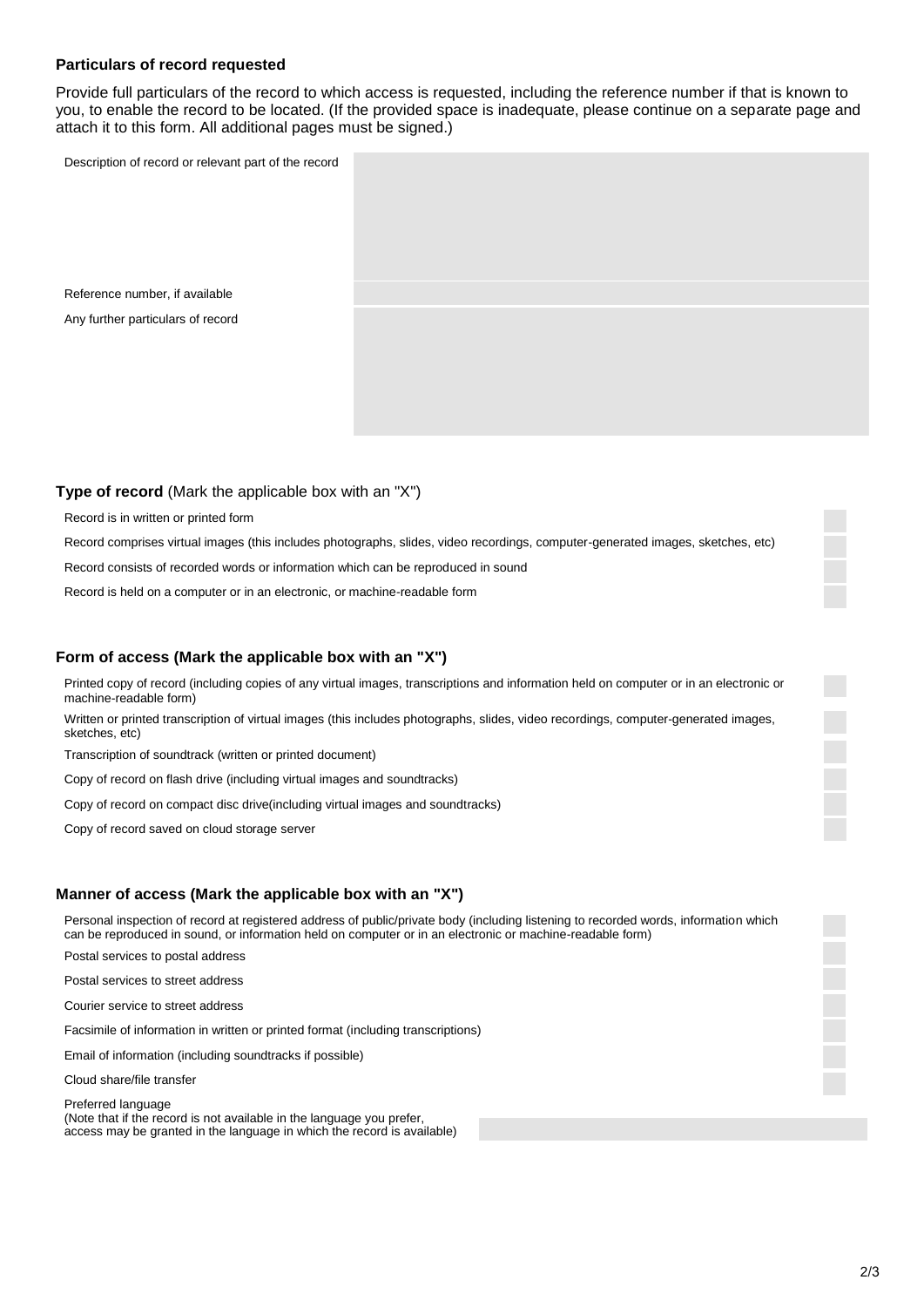#### **Particulars of record requested**

Provide full particulars of the record to which access is requested, including the reference number if that is known to you, to enable the record to be located. (If the provided space is inadequate, please continue on a separate page and attach it to this form. All additional pages must be signed.)

Description of record or relevant part of the record

Reference number, if available Any further particulars of record

#### **Type of record** (Mark the applicable box with an "X")

Record is in written or printed form

Record comprises virtual images (this includes photographs, slides, video recordings, computer-generated images, sketches, etc)

Record consists of recorded words or information which can be reproduced in sound

Record is held on a computer or in an electronic, or machine-readable form

#### **Form of access (Mark the applicable box with an "X")**

Printed copy of record (including copies of any virtual images, transcriptions and information held on computer or in an electronic or machine-readable form)

Written or printed transcription of virtual images (this includes photographs, slides, video recordings, computer-generated images, sketches, etc)

Transcription of soundtrack (written or printed document)

Copy of record on flash drive (including virtual images and soundtracks)

Copy of record on compact disc drive(including virtual images and soundtracks)

Copy of record saved on cloud storage server

## **Manner of access (Mark the applicable box with an "X")**

Personal inspection of record at registered address of public/private body (including listening to recorded words, information which can be reproduced in sound, or information held on computer or in an electronic or machine-readable form)

Postal services to postal address

Postal services to street address

Courier service to street address

Facsimile of information in written or printed format (including transcriptions)

Email of information (including soundtracks if possible)

Cloud share/file transfer

Preferred language (Note that if the record is not available in the language you prefer, access may be granted in the language in which the record is available)